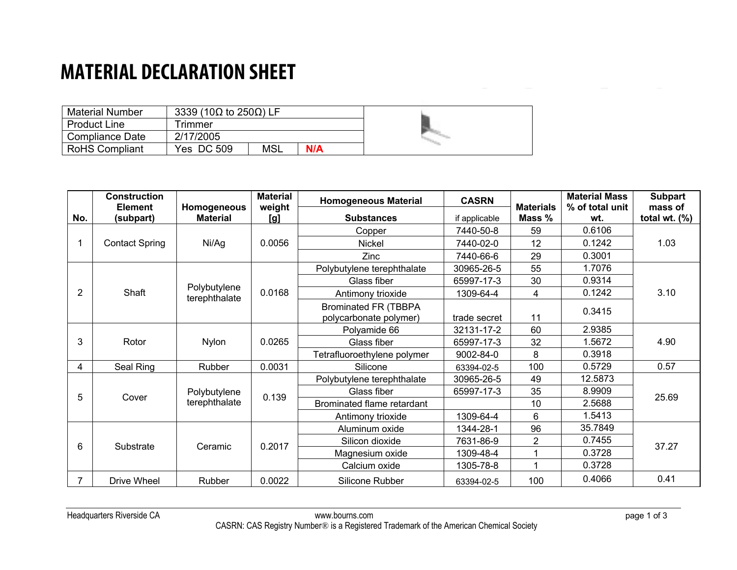### **MATERIAL DECLARATION SHEET**

| <b>Material Number</b> | 3339 (10 $\Omega$ to 250 $\Omega$ ) LF |     |     |  |
|------------------------|----------------------------------------|-----|-----|--|
| <b>Product Line</b>    | <b>Frimmer</b>                         |     |     |  |
| Compliance Date        | 2/17/2005                              |     |     |  |
| <b>RoHS Compliant</b>  | Yes DC 509                             | MSL | N/A |  |

|                | <b>Construction</b><br><b>Element</b> | Homogeneous                            | <b>Material</b><br>weight | <b>Homogeneous Material</b>                           | <b>CASRN</b>  | <b>Materials</b> | <b>Material Mass</b><br>% of total unit | <b>Subpart</b><br>mass of |
|----------------|---------------------------------------|----------------------------------------|---------------------------|-------------------------------------------------------|---------------|------------------|-----------------------------------------|---------------------------|
| No.            | (subpart)                             | <b>Material</b>                        | [g]                       | <b>Substances</b>                                     | if applicable | Mass %           | wt.                                     | total wt. $(\%)$          |
|                |                                       |                                        |                           | Copper                                                | 7440-50-8     | 59               | 0.6106                                  |                           |
|                | <b>Contact Spring</b>                 | Ni/Ag                                  | 0.0056                    | Nickel                                                | 7440-02-0     | 12               | 0.1242                                  | 1.03                      |
|                |                                       |                                        |                           | Zinc                                                  | 7440-66-6     | 29               | 0.3001                                  |                           |
|                |                                       | Polybutylene<br>terephthalate          | 0.0168                    | Polybutylene terephthalate                            | 30965-26-5    | 55               | 1.7076                                  | 3.10                      |
|                |                                       |                                        |                           | Glass fiber                                           | 65997-17-3    | 30               | 0.9314                                  |                           |
| $\overline{2}$ | Shaft                                 |                                        |                           | Antimony trioxide                                     | 1309-64-4     | 4                | 0.1242                                  |                           |
|                |                                       |                                        |                           | <b>Brominated FR (TBBPA</b><br>polycarbonate polymer) | trade secret  | 11               | 0.3415                                  |                           |
|                |                                       | <b>Nylon</b>                           | 0.0265                    | Polyamide 66                                          | 32131-17-2    | 60               | 2.9385                                  | 4.90                      |
| 3              | Rotor                                 |                                        |                           | Glass fiber                                           | 65997-17-3    | 32               | 1.5672                                  |                           |
|                |                                       |                                        |                           | Tetrafluoroethylene polymer                           | 9002-84-0     | 8                | 0.3918                                  |                           |
| 4              | Seal Ring                             | Rubber                                 | 0.0031                    | Silicone                                              | 63394-02-5    | 100              | 0.5729                                  | 0.57                      |
|                |                                       | Polybutylene<br>Cover<br>terephthalate | 0.139                     | Polybutylene terephthalate                            | 30965-26-5    | 49               | 12.5873                                 | 25.69                     |
| 5              |                                       |                                        |                           | Glass fiber                                           | 65997-17-3    | 35               | 8.9909                                  |                           |
|                |                                       |                                        |                           | Brominated flame retardant                            |               | 10               | 2.5688                                  |                           |
|                |                                       |                                        |                           | Antimony trioxide                                     | 1309-64-4     | 6                | 1.5413                                  |                           |
|                | Substrate                             | Ceramic                                | 0.2017                    | Aluminum oxide                                        | 1344-28-1     | 96               | 35.7849                                 | 37.27                     |
| 6              |                                       |                                        |                           | Silicon dioxide                                       | 7631-86-9     | $\overline{2}$   | 0.7455                                  |                           |
|                |                                       |                                        |                           | Magnesium oxide                                       | 1309-48-4     |                  | 0.3728                                  |                           |
|                |                                       |                                        |                           | Calcium oxide                                         | 1305-78-8     |                  | 0.3728                                  |                           |
| 7              | Drive Wheel                           | Rubber                                 | 0.0022                    | Silicone Rubber                                       | 63394-02-5    | 100              | 0.4066                                  | 0.41                      |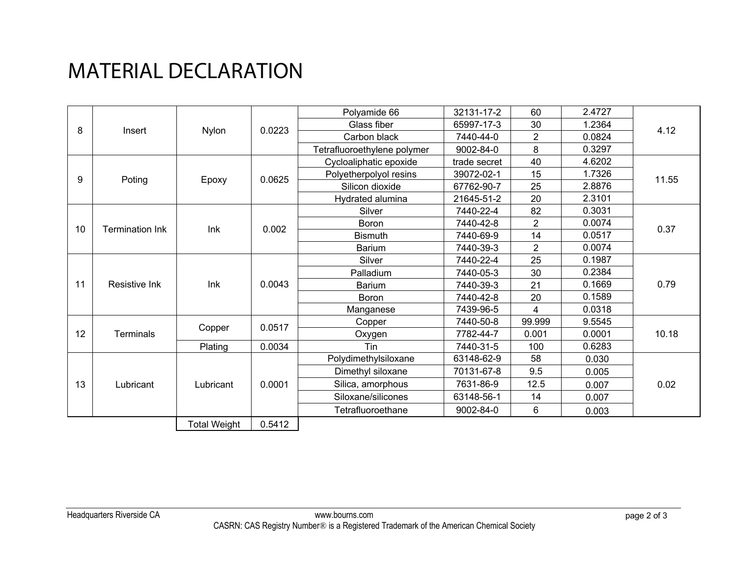# MATERIAL DECLARATION

|             |                        |                     |                             | Polyamide 66           | 32131-17-2     | 60             | 2.4727 |       |
|-------------|------------------------|---------------------|-----------------------------|------------------------|----------------|----------------|--------|-------|
| 8<br>Insert | <b>Nylon</b>           | 0.0223              | Glass fiber                 | 65997-17-3             | 30             | 1.2364         | 4.12   |       |
|             |                        |                     | Carbon black                | 7440-44-0              | $\overline{2}$ | 0.0824         |        |       |
|             |                        |                     | Tetrafluoroethylene polymer | 9002-84-0              | 8              | 0.3297         |        |       |
|             |                        |                     |                             | Cycloaliphatic epoxide | trade secret   | 40             | 4.6202 |       |
| 9           |                        |                     | 0.0625                      | Polyetherpolyol resins | 39072-02-1     | 15             | 1.7326 |       |
|             | Poting                 | Epoxy               |                             | Silicon dioxide        | 67762-90-7     | 25             | 2.8876 | 11.55 |
|             |                        |                     |                             | Hydrated alumina       | 21645-51-2     | 20             | 2.3101 |       |
|             |                        |                     |                             | Silver                 | 7440-22-4      | 82             | 0.3031 |       |
| 10          |                        | Ink                 | 0.002                       | <b>Boron</b>           | 7440-42-8      | 2              | 0.0074 | 0.37  |
|             | <b>Termination Ink</b> |                     |                             | <b>Bismuth</b>         | 7440-69-9      | 14             | 0.0517 |       |
|             |                        |                     |                             | <b>Barium</b>          | 7440-39-3      | $\overline{2}$ | 0.0074 |       |
|             |                        |                     |                             | Silver                 | 7440-22-4      | 25             | 0.1987 |       |
|             |                        |                     |                             | Palladium              | 7440-05-3      | 30             | 0.2384 |       |
| 11          | Resistive Ink          | lnk                 | 0.0043                      | <b>Barium</b>          | 7440-39-3      | 21             | 0.1669 | 0.79  |
|             |                        |                     |                             | Boron                  | 7440-42-8      | 20             | 0.1589 |       |
|             |                        |                     |                             | Manganese              | 7439-96-5      | 4              | 0.0318 |       |
|             |                        | Copper              | 0.0517                      | Copper                 | 7440-50-8      | 99.999         | 9.5545 |       |
| 12          | <b>Terminals</b>       |                     |                             | Oxygen                 | 7782-44-7      | 0.001          | 0.0001 | 10.18 |
|             |                        | Plating             | 0.0034                      | Tin                    | 7440-31-5      | 100            | 0.6283 |       |
|             |                        |                     |                             | Polydimethylsiloxane   | 63148-62-9     | 58             | 0.030  |       |
|             |                        |                     |                             | Dimethyl siloxane      | 70131-67-8     | 9.5            | 0.005  |       |
| 13          | Lubricant              | Lubricant           | 0.0001                      | Silica, amorphous      | 7631-86-9      | 12.5           | 0.007  | 0.02  |
|             |                        |                     |                             | Siloxane/silicones     | 63148-56-1     | 14             | 0.007  |       |
|             |                        |                     |                             | Tetrafluoroethane      | 9002-84-0      | 6              | 0.003  |       |
|             |                        | <b>Total Weight</b> | 0.5412                      |                        |                |                |        |       |
|             |                        |                     |                             |                        |                |                |        |       |